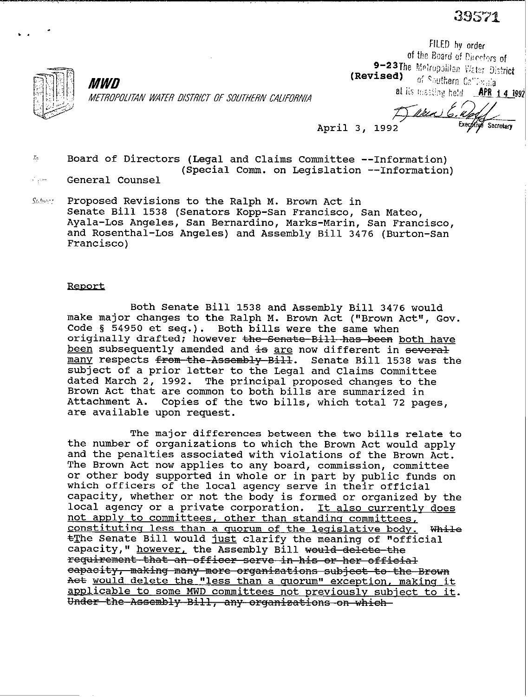39571

Secretary

FILED by order



*MWD* 

(Revised) of Southern California at its messing held **APR 1 4 1992** 

of the Board of Directors of<br>9–23The Metropolitan Water District

METROPOLITAN WATER DISTRICT OF SOUTHERN CALIFORNIA

April 3, 1992

 $\bar{h}$  Board of Directors (Legal and Claims Committee --Information) (Special Comm. on Legislation --Information)

General Counsel  $\mathcal{E}_{\text{opt}}$ 

Submet Proposed Revisions to the Ralph M. Brown Act in Senate Bill 1538 (Senators Xopp-San Francisco, San Mateo, Ayala-Los Angeles, San Bernardino, Marks-Marin, San Francisco, and Rosenthal-Los Angeles) and Assembly Bill 3476 (Burton-San Francisco)

## **Report**

Both Senate Bill 1538 and Assembly Bill 3476 would make major changes to the Ralph M. Brown Act ("Brown Act", Gov. Code § 54950 et seq.). Both bills were the same when originally drafted; however <del>the Senate Bill has been</del> both have been subsequently amended and is are now different in several many respects from the Assembly Bill. Senate Bill 1538 was the subject of a prior letter to the Legal and Claims Committee dated March 2, 1992. The principal proposed changes to the Brown Act that are common to both bills are summarized in Attachment A. Copies of the two bills, which total 72 pages, are available upon request.

The major differences between the two bills relate to the number of organizations to which the Brown Act would apply and the penalties associated with violations of the Brown Act. The Brown Act now applies to any board, commission, committee or other body supported in whole or in part by public funds on which officers of the local agency serve in their official capacity, whether or not the body is formed or organized by the local agency or a private corporation. It also currentlv does not apply to committees, other than standing committees, constituting less than a quorum of the legislative body. While  $E$ he Senate Bill would just clarify the meaning of "official capacity," however, the Assembly Bill would delete the<br>requirement that an officer serve in his or her official eapacity, making many more organizations subject to the Brown Act would delete the "less than a quorum" exception, making it applicable to some MWD committees not previously subject to it. Under the Assembly Bill, any organizations on which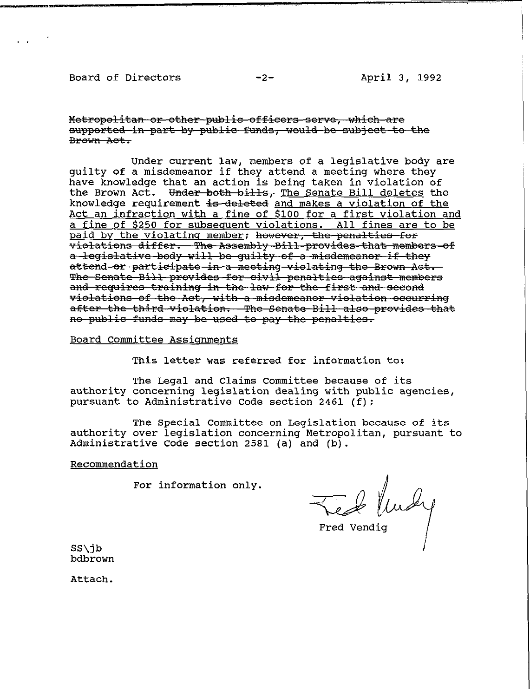## **Board of Directors** -2- April 3, 1992

e von S

Metropolitan or other public officers serve, which are supported in part by public funds, would be subject to the Brown Act.

**Under current law, members of a legislative body are guilty of a misdemeanor if they attend a meeting where they have knowledge that an action is being taken in violation of**  the Brown Act. Under both bills, The Senate Bill deletes the knowledge requirement is deleted and makes a violation of the **Act an infraction with a fine of \$100 for a first violation and a fine of \$250 for subsecuent violations. All fines are to be**  violations differ. The Assembly Bill provides that members of a legislative body will be quilty of a misdemeanor if they <del>attend or participate in a meeting violating the Brown Act.</del> The Senate Bill provides for civil penalties against members and requires training in the law for the first and second violations of the Act, with a misdemeanor violation occurring after the third violation. The Senate Bill also provides that no-public funds may be used to pay the penalties.

**Board Committee Assiqnments** 

**This letter was referred for information to:** 

**The Legal and Claims Committee because of its authority concerning legislation dealing with public agencies, pursuant to Administrative Code section 2461 (f):** 

**The Special Committee on Legislation because of its authority over legislation concerning Metropolitan, pursuant to Administrative Code section 2581 (a) and (b).** 

## **Recommendation**

**For information only.** 

Feb<sup>lusy</sup>

**SS\jb bdbrown** 

**Attach.**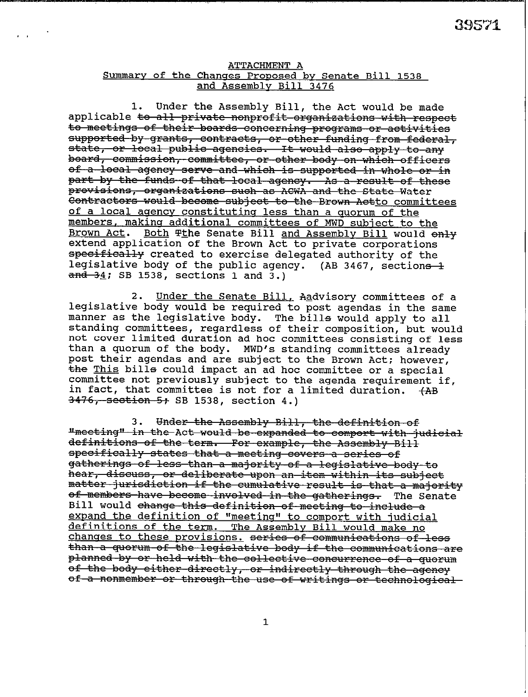## **ATTACHMENT A**  Summary of the Changes Proposed by Senate Bill 1538 **and Assembly Bill 3476**

 $\mathbf{r}$ ,  $\mathbf{r}$ ,  $\mathbf{r}$ ,  $\mathbf{r}$ 

**1. Under the Assembly Bill, the Act would be made**  applicable to all private nonprofit organizations with respect to meetings of their boards concerning programs or activities supported by grants, contracts, or other funding from federal, state, or local public agencies. It would also apply to any board, commission, committee, or other body on which officers of a local agency serve and which is supported in whole or in part by the funds of that local agency. As a result of these provisions, organizations such as ACWA and the State Water **Contractors would become subject to the Brown Actto committees of a local aoencv constitutinq less than a ouorum of the members. makins additional committees of MWD subject to the**  Brown Act. Both **The Senate Bill and Assembly Bill would enly extend application of the Brown Act to private corporations**  ifically created to exercise delegated authority of the **legislative body of the public agency. (AB 3467, section& and 34; SB 1538, sections 1 and 3.)** 

**2. Under the Senate Bill, Aadvisory committees of a legislative body would be required to post agendas in the same manner as the legislative body. The bills would apply to all standing committees, regardless of their composition, but would not cover limited duration ad hoc committees consisting of less than a quorum of the body. MWD's standing committees already post their agendas and are subject to the Brown Act; however, the This bills could impact an ad hoc committee or a special committee not previously subject to the agenda requirement if, in fact, that committee is not for a limited duration. +AB 3476, section 5; SB 1538, section 4.)** 

3. Under the Assembly Bill, the definition of "meeting" in the Act would be expanded to comport with judicial definitions of the term. For example, the Assembly Bill specifically states that a meeting covers a series of gatherings of less than a majority of a legislative body to hear, discuss, or deliberate upon an item within its subject matter jurisdiction if the cumulative result is that a majority <del>of members have become involved in the gatherings.</del> The Senate<br>Bill would <del>change this definition of meeting to include a</del> expand the definition of "meeting" to comport with judicial<br>definitions of the term. The Assembly Bill would make no changes to these provisions. <del>series of communications of less</del><br><del>than a quorum of the legislative body if the communications are</del> planned by or held with the collective concurrence of a quorum of the body either directly, or indirectly through the agency of a nonmember or through the use of writings or technological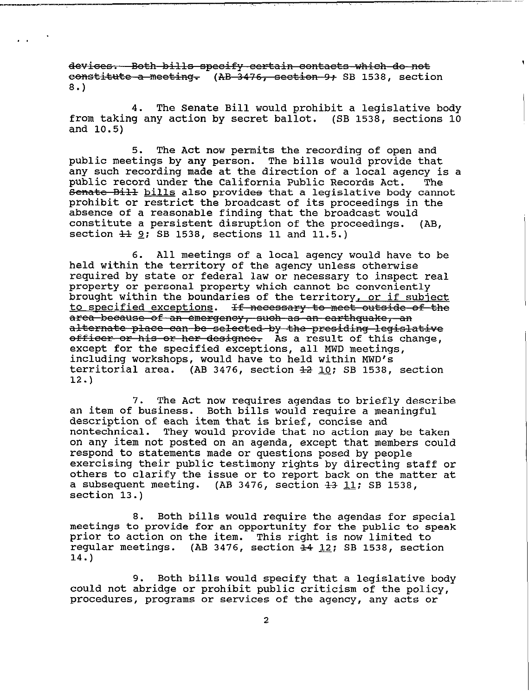devices. Both bills specify certain contacts which do not constitute a meeting. (AB 3476, section 9+ SB 1538, section 8.)

\_\_\_--^\_- ---7-----

. \*

4. The Senate Bill would prohibit a legislative body from taking any action by secret ballot. (SB 1538, sections 10 and 10.5)

5. The Act now permits the recording of open and public meetings by any person. The bills would provide that any such recording made at the direction of a local agency is a public record under the California Public Records Act. The Senate Bill bills also provides that a legislative body cannot prohibit or restrict the broadcast of its proceedings in the absence of a reasonable finding that the broadcast would constitute a persistent disruption of the proceedings. (AB, section  $\pm 1$   $\frac{9}{5}$ ; SB 1538, sections 11 and 11.5.)

6. All meetings of a local agency would have to be held within the territory of the agency unless otherwise required by state or federal law or necessary to inspect real property or personal property which cannot be conveniently brought within the boundaries of the territory, or if subject to specified exceptions. If necessary to meet outside of the<br>area because of an emergency, such as an earthquake, an alternate place can be selected by the presiding legislative officer or his or her designee. As a result of this change, except for the specified exceptions, all MWD meetings, including workshops, would have to held within MWD's territorial area. (AB 3476, section  $\frac{12}{10}$ ; SB 1538, section 12.)

7. The Act now requires agendas to briefly describe an item of business. Both bills would require a meaningful description of each item that is brief, concise and nontechnical. They would provide that no action may be taken on any item not posted on an agenda, except that members could respond to statements made or questions posed by people exercising their public testimony rights by directing staff or others to clarify the issue or to report back on the matter at a subsequent meeting. (AB 3476, section  $\overline{43}$  11; SB 1538, section 13.)

8. Both bills would require the agendas for special meetings to provide for an opportunity for the public to speak prior to action on the item. This right is now limited to regular meetings. (AB 3476, section  $\frac{1}{2}$  12; SB 1538, section 14.)

9. Both bills would specify that a legislative body could not abridge or prohibit public criticism of the policy, procedures, programs or services of the agency, any acts or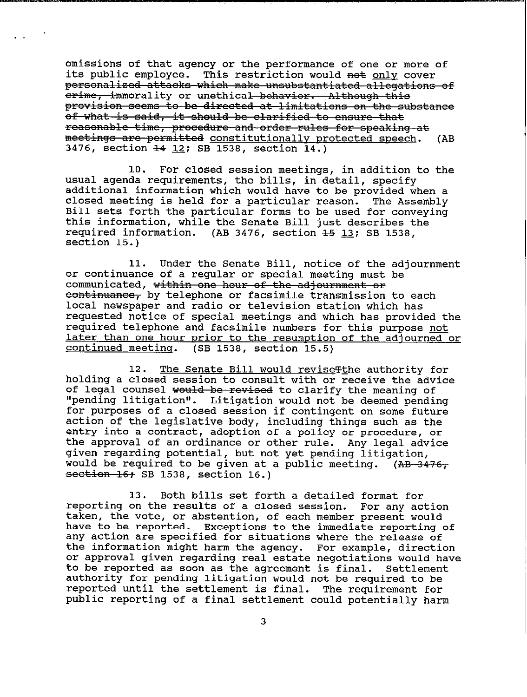**omissions of that agency or the performance of one or more of its public employee. This restriction would net & cover**  personalized attacks which make unsubstantiated allegations of erime, immorality or unethical behavior. Although this provision seems to be directed at limitations on the substance of what is said, it should be clarified to ensure that reasonable time, procedure and order rules for speaking at meetings are permitted constitutionally protected speech. (AB 3476, section  $\frac{14}{12}$ ; SB 1538, section 14.)

.

**10. For closed session meetings, in addition to the usual agenda requirements, the bills, in detail, specify additional information which would have to be provided when a closed meeting is held for a particular reason. The Assembly Bill sets forth the particular forms to be used for conveying this information, while the Senate Bill just describes the required information. (AB 3476, section &5 l3; SB 1538, section 15.)** 

**11. Under the Senate Bill, notice of the adjournment or continuance of a regular or special meeting must be**  communicated, within one hour of the adjournment or **eontinuance,** by telephone or facsimile transmission to each local newspaper and radio or television station which has **requested notice of special meetings and which has provided the required telephone and facsimile numbers for this purpose not later than one hour prior to the resumption of the adjourned or continued meeting.** (SB 1538, section 15.5) **continued meetinq. (SB 1538, section 15.5)** 

12. The Senate Bill would revise The authority for **holding a closed session to consult with or receive the advice**  of legal counsel would be revised to clarify the meaning of **"pending litigation". Litigation would not be deemed pending for purposes of a closed session if contingent on some future action of the legislative body, including things such as the entry into a contract, adoption of a policy or procedure, or the approval of an ordinance or other rule. Any legal advice given regarding potential, but not yet pending litigation, would be required to be given at a public meeting.** (AB-3476**section 16; SB 1538, section 16.)** 

**13. Both bills set forth a detailed format for reporting on the results of a closed session. For any action taken, the vote, or abstention, of each member present would have to be reported. Exceptions to the immediate reporting of any action are specified for situations where the release of the information might harm the agency. For example, direction or approval given regarding real estate negotiations would have to be reported as soon as the agreement is final. Settlement authority for pending litigation would not be required to be reported until the settlement is final. The requirement for public reporting of a final settlement could potentially harm**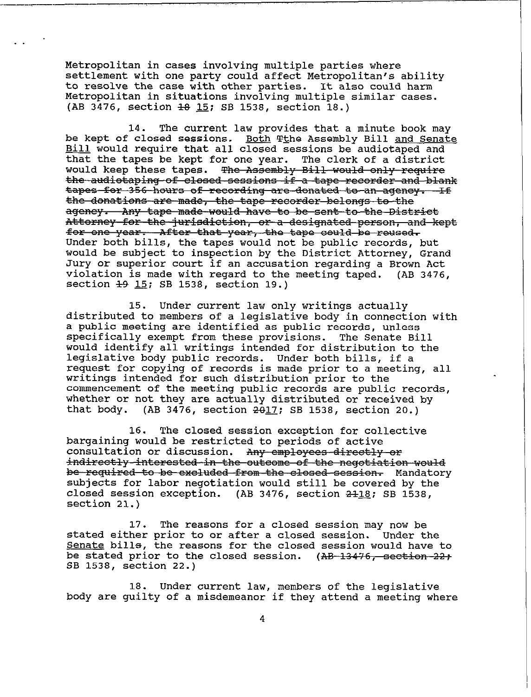Metropolitan in cases involving multiple parties where settlement with one party could affect Metropolitan's ability to resolve the case with other parties. It also could harm Metropolitan in situations involving multiple similar cases. (AB 3476, section  $\frac{18}{15}$ ; SB 1538, section 18.)

14. The current law provides that a minute book may be kept of closed sessions. Both Tthe Assembly Bill and Senate Bill would require that all closed sessions be audiotaped and that the tapes be kept for one year. The clerk of a district would keep these tapes. The Assembly Bill would only require the audiotaping of closed sessions if a tape recorder and blank tapes for 356 hours of recording are donated to an agency. If<br>the donations are made, the tape recorder belongs to the ageney. Any tape made would have to be sent to the District Attorney for the jurisdiction, or a designated person, and kept for one year. After that year, the tape could be reused. Under both bills, the tapes would not be public records, but would be subject to inspection by the District Attorney, Grand Jury or superior court if an accusation regarding a Brown Act violation is made with regard to the meeting taped. (AB 3476, section <del>19</del> 15; SB 1538, section 19.)

15. Under current law only writings actually distributed to members of a legislative body in connection with a public meeting are identified as public records, unless specifically exempt from these provisions. The Senate Bill would identify all writings intended for distribution to the legislative body public records. Under both bills, if a request for copying of records is made prior to a meeting, all writings intended for such distribution prior to the commencement of the meeting public records are public records, whether or not they axe actually distributed or received by that body. (AB 3476, section  $2\theta$ 17; SB 1538, section 20.)

16. The closed session exception for collective bargaining would be restricted to periods of active consultation or discussion. A<del>ny employees directly or</del><br>indirectly interested in the outcome of the negotiation would be required to be excluded from the closed session. Mandatory subjects for labor negotiation would still be covered by the closed session exception. (AB 3476, section  $2418$ ; SB 1538, section 21.)

17. The reasons for a closed session may now be stated either prior to or after a closed session. Under the Senate bills, the reasons for the closed session would have to be stated prior to the closed session. (<del>AB 13476, section 22;</del><br>AB 1539, castion 39.) SB 1538, section 22.)

18. Under current law, members of the legislative body are guilty of a misdemeanor if they attend a meeting where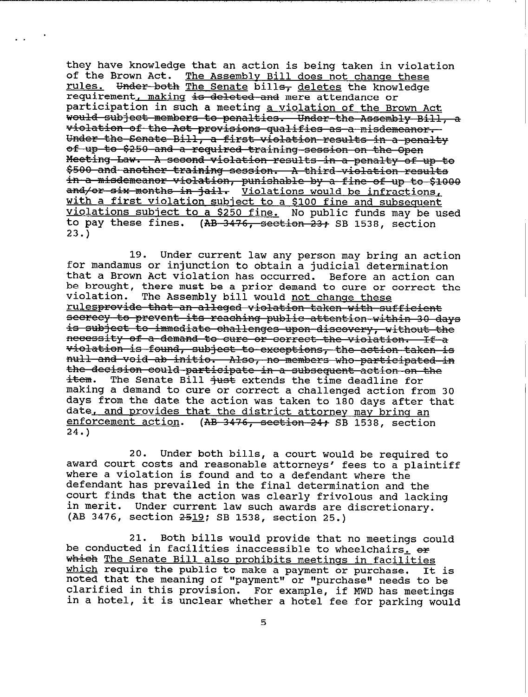**they have knowledge that an action is being taken in violation**  The Assembly Bill does not change these rules. Under both The Senate bills<sub>7</sub> deletes the knowledge requirement, making is deleted and mere attendance or **participation in such a meeting a violation of the Brown Act**  violation of the Act provisions qualifies as a misdemeanor. Under the Senate Bill, a first violation results in a penalty of up to \$250 and a required training session on the Open Meeting Law. A second violation results in a penalty of up to \$500 and another training session. A third violation results in jail. <u>Violations would be infractions</u> **with a first violation subject to a \$100 fine and subsequent violations subject to a \$250 fine. No public funds may be used**  to pay these fines. (AB 3476, section 23; SB 1538, section **23.)** 

--

. .

**19. Under current law any person may bring an action for mandamus or injunction to obtain a judicial determination that a Brown Act violation has occurred. Before an action can be brought, there must be a prior demand to cure or correct the**  violation. The Assembly bill would not change these <u>rulesprovide that an alleged violation taken with sufficient</u> secrecy to prevent its reaching public attention within 30 da is subject to immediate challenges upon-discovery, without the necessity of a demand to cure or correct the violation. If a violation is found, subject to exceptions, the action taken is null and void ab initio. Also, no members who participated in the decision could participate in a subsequent action on the  $\frac{1}{100}$ . The Senate Bill <del>just</del> extends the time deadline for **making a demand to cure or correct a challenged action from 30 days from the date the action was taken to 180 days after that date, and orovides that the district attornev may brinq an enforcement action.** (AB 3476, section 24+ SB 1538, section **24.)** 

**20. Under both bills, a court would be required to award court costs and reasonable attorneys' fees to a plaintiff where a violation is found and to a defendant where the defendant has prevailed in the final determination and the court finds that the action was clearly frivolous and lacking in merit. Under current law such awards are discretionary.**  (AB 3476, section  $2519$ ; SB 1538, section 25.)

**21. be conducted in facilities inaccessible to wheelchairs, e+ Both bills would provide that no meetings could**  which The Senate Bill also prohibits meetings in facilities **which require the public to make a payment or purchase. It is noted that the meaning of "payment" or "purchase" needs to be clarified in this provision. For example, if MWD has meetings in a hotel, it is unclear whether a hotel fee for parking would**